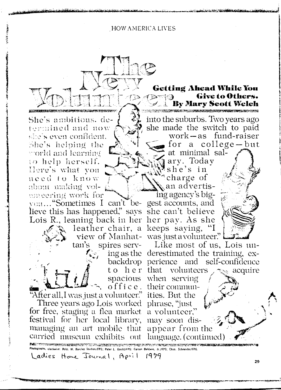**HOW AMERICA LIVES** 

 $A \triangleright A \triangleright B$ 

She's ambitions, determined and now she's even confident. She's helping the y orld and learning to help herself. Here's what you need to know about making volmneering work for

von... "Sometimes I can't be-gest accounts, and lieve this has happened," says she can't believe Lois R., leaning back in her her pay. As she

tan's

"After all, I was just a volunteer." ities. But the Three years ago Lois worked phrase, "just

for free, staging a flea market a volunteer," festival for her local library, may soon dismanaging an art mobile that appear from the carried museum exhibits out language. (continued)

into the suburbs. Two years ago she made the switch to paid  $work - as$  fund-raiser for a college-but at minimal sal-

**Getting Ahead While You** 

**Ex Mary Scott Welch** 

Give to Others.

ary. Today she's in charge of an advertis-

ing agency's bigleather chair, a keeps saying, "I view of Manhat- was just a volunteer."



spires serv- Like most of us, Lois uning as the derestimated the training, exbackdrop perience and self-confidence to her that volunteers acquire spacious when serving office. their commun-

W. Barclay Studios/FPG; Peter L. Gould/FPG; Carson Baldwin, Jr./FPG; Chas. Schneider/FPG. Ladies Home Journal, April 1979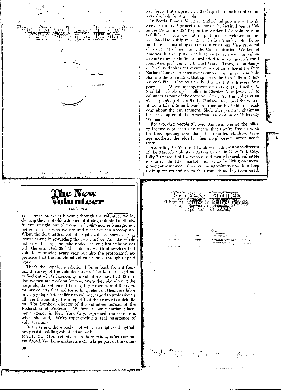石脂脂





# The New olunteer

continued

For a fresh breeze is blowing through the volunteer world, clearing the air of old-fashioned attitudes, outdated methods. It rises straight out of women's heightened self-image, our better sense of who we are and what we can accomplish. When the dust settles, volunteer jobs will be more exciting, more personally rewarding than ever before. And the whole nation will sit up and take notice, at long last valuing not only the estimated 68 billion dollars worth of services that volunteers provide every year but also the professional experience that the individual volunteer gains through unpaid work.

That's the hopeful prediction I bring back from a fourmonth survey of the volunteer scene. The Journal asked me to find out what's happening to volunteers now that 43 million women are working for pay. Were they abandoning the hospitals, the settlement houses, the museums and the community centers that had for so long relied on their free labor to keep going? After talking to volunteers and to professionals all over the country, I can report that the answer is a definite no. Rita Lambek, director of the volunteer bureau of the Federation of Protestant Welfare, a non-sectarian placement agency in New York City, expressed the consensus when she said, "We're experiencing a real resurgence of volunteerism.'

But here and there pockets of what we might call mythology persist, holding volunteerism back.

MYTH  $\#1$ : Most volunteers are housencives, otherwise unemployed. Yes, homemakers are still a large part of the volunteer force. But surprise ... the largest proportion of volunteers also hold full-time jobs.

In Peoria, Illinois, Margaret Sutherland puts in a full workweek as the paid project director of the Retired Senior Volunteer Program (RSVP); on the weekend she volunteers at Wildlife Prairie, a new natural park being developed on land reclaimed from strip mining. . . . In Los Angeles, Dina Beaumont has a demanding career as International Vice President (District 11) of her union, the Communications Workers of America, but she puts in at least ten hours a week on volunteer activities, including a local effort to solve the city's court congestion problem.... In Fort Worth, Texas, Alann Sampson's salaried job is at the community affairs office of the First National Bank; her extensive volunteer commitments include chairing the foundation that sponsors the Van Cliburn International Piano Competition, held in Fort Worth every four years . . . When management consultant Dr. Lucille A. Maddalena locks up her office in Chester, New Jersey, it's to volunteer as part of the crew on *Clearwater*, the replica of an old cargo sloop that sails the Hudson River and the waters of Long Island Sound, teaching thousands of children each year about the environment. She's also program chairman for her chapter of the American Association of University Women.

For working people all over America, closing the office or factory door each day means that they're free to work for free, opening new doors for retarded children, teenage mothers, the elderly, their neighbors-whoever needs them.

According to Winifred L. Brown, administrator-director of the Mayor's Voluntary Action Center in New York City, fully 70 percent of the women and men who seek volunteer jobs are in the labor market. "Some may be living on unemployment insurance," she says, "using volunteer work to keep their spirits up and widen their contacts as they (continued)



30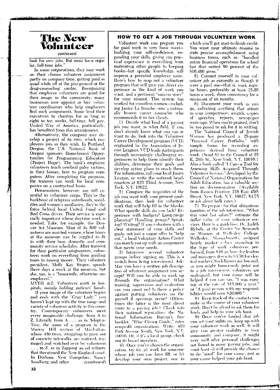

continued

look for new jobs. But most have regular. full-time jobs.

In some corporations, they may work on their chosen volunteer assignment partly on company time, getting paid as usual while off at the playground or the drug-counseling center. Recognizing that employee volunteers are good for their image in the community, many businesses now appoint or hire volunteer coordinators who help employees find such assignments. Some lend their executives to charities for as long as eight to ten weeks, full-time, full pay. United Way of America, particularly, has benefited from this arrangement.

Alternatively, the company may develop a project of its own, which employees join as they wish. In Portland, Oregon, the U.S. National Bank of Oregon sponsors Homebound Opportunities for Programming Education (Project Hope). The bank's employee volunteers teach cerebral palsy victims, in their homes, how to program computers. After completing the program, the trainees can work for local companies on a contractual basis.

Homemakers, however, are still essential to volunteer corps. They're the backbone of religious sisterhoods, sodalities and women's auxiliaries; they're the force behind local United Fund and Red Cross drives. Their service is especially important where daytime work is needed. Take, for example, the Denver Art Museum. Most of its 800 volunteers are married women whose hours at the museum can be juggled to fit in with their busy domestic and community service schedules. After training for their particular assignments, volunteers work on everything from guiding tours to raising money. Their volunteer president, Molly Kay Singer, spends three days a week at the museum, but she, too, is a "housewife, otherwise unemployed.

 $MYTII \neq 2$ : Volunteers work in hospitals, mainly holding patients' hands.

If your image of the volunteer begins and ends with the "Gray Lady," you haven't kept up with the true range and variety of volunteer activity in this country. Contemporary volunteers meet every imaginable challenge, from A to Z. Literally from A... as in Adopt-a-Tree, the name of a program in the Murray Hill section of Manhattan. where 450 trees, struggling to grow out of concrete sidewalks, are watered, ivyringed and watched over by volunteers ... to Z, as in Zapping an oil refinery that threatened the New England coast. In Durham, New Hampshire, Nancy Sandberg and other (continued)

#### HOW TO GET A JOB THROUGH VOLUNTEER WORK

Volunteer work can prepare vou for paid work in very basic waysbuilding vour self-confidence, expanding your skills, giving you practical experience in everything from motivating other people to keeping books-but specific knowledge will impress a potential employer more. Here's how to map out a volunteer program that will give you direct experience in the kind of work you want, and a pertinent "success story' for vour résumé. This system has worked for countless women-including Janice La Rouche, now a nationally known career counselor who recommends it to her clients.

1) Decide what kind of a paving job you want, in what field. If you don't already know what you can or want to do, look into the Volunteer Career Development program (VCD) originated by the Association of Junior Leagues. VCD leads participants through increasingly challenging experiences to help them identify their abilities, determine their goals and develop action plans to reach them. For information, call your local Junior League, or write the national headquarters at 825 Third Avenue, New York, N.Y. 10022.

2) Compare the requisites of the job you want with your present qualifications, then look for volunteer work that will help fill in the blanks. What specific skills do you lack? Experience with budgets<sup>2</sup> Long-range planning? Handling groups? Speaking? Writing? If you volunteer with a clear statement of your skills and goals, not just a vague offer to "help out." a local Voluntary Action Center can match you up with an assignment that meets your needs.

3) Interview several volunteer groups before signing on. This is a switch from being interviewed. Ask: Mav you have a written job description of whatever assignment you accept? Will you be able to work up through the organization? What training, supervision and evaluation can vou count on? Is there a policy against putting volunteers on the<br>payroll if openings occur? (Oftentimes the latter is the most direct route to a paying job.) Check into their national reputation: the National Information Bureau's free booklet. "Wise Giving Guide," rates nonprofit organizations. Write: 419 Park Avenue South, New York, N.Y.  $10016$ . Or, if it's a local group, check out its board members.

4) Once you've chosen the organization, try to: a) work for someone whose job you can later fill, or b) develop your own project, one in

which you'll get start-to-finish credit. You want your ultimate résumé to state precise accomplishment, using business terms, such as: "handled entire financial operations for school fair that netted 90 percent of the \$16,480 gross.'

5) Commit vourself to your volunteer iob as earnestly as though it were a paid one-that is, work regular hours, preferably at least 15-20 hours a week; show consistency for a minimum of six months.

6) Document your work as vou go, collecting anything that attests to your competence: awards, copies of speeches, reports, newspaper write-ups. When you're praised, don't be too proud to ask for it in writing.

The National Council of Jewish Women has produced a 28-page "Personal Career Portfolio," with sample forms for recording experience derived from volunteer work. (Send \$1 to the Council at 15 E. 26th St., New York, N.Y. 10010.) Also a book called "I Can-a Tool for Assessing Skills Acquired Through<br>Volunteer Service," developed by the Council of National Organizations for Adult Education, has a valuable section on documentation. (Available from Ramco Printing, 228 East 45th Street, New York, N.Y. 10017; \$4.75 or ask about bulk rates.)

7) To prepare for that ubiquitous question of the job interview, "What was your last salary?" estimate the dollar value of your volunteer services. Here is a guideline: Dr. Judith Hybels, at the Center for Research on Women at Wellesley College. Wellesley, Massachusetts, assigned hourly market values according to the type of work volunteers performed, from \$10 an hour for leaders and managers down to \$3.50 for clerical workers. Such figures are low and, as you might humorously point out to a job interviewer, volunteers are underpaid, but your cause will be helped if you can sav, "I was earning at the rate of \$15,000 a year.' or "A paid person with my responsibilities would earn \$20,000."

8) Keep track of the contacts you make in the course of your volunteer work. Don't be afraid to ask them for leads and help in your job hunt.

9) Once vou've landed that job you set your sights on, keep up with your volunteer work as well. It will give you greater visibility in your community and company, it might very well offer personal challenges not found in many paying jobs, and -not least-it will provide the chance to do "good" for your cause, just as vour cause helped your job hunt.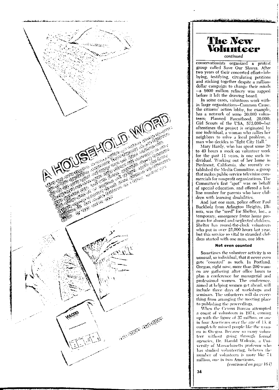

**The New Volunteer**  *continued*  conservationists organized a protest group called Save Our Shores. After two years of their concerted cffort-lohbying, testifying, circulating petitions and sticking together despite a milliondollar campaign to change their minds -a \$600 million refinery was zapped before it left the drawing hoard. In some cases, volunteers work within large organizations-Common Cause. the citizens' action lobby, for example, has a network of some 30,000 Yolnnteers; Planned Parenthood. 20,000: Girl Scouts of the USA, 573.000-but oftentimes the project is originated hy one individual, a woman who rallies her neighbors to solve a local problem, a man who decides to "fight Citv Hall.'' Mary Hardy, who has spent some 20 to 40 hours a week on volunteer work for the past 11 years, is one such individual. Working out of her home in Piedmont, California. she recently established the \fedia Committee. a group that makes puhlic service television commercials for nonprofit organizations. The Committee's first "spot" was on behalf of special education, and offered a hotline number for parents who have children with learning disabilities. And just one man, police officer Paul Buckholz from Arlington Heights, Illinois, was the "seed" for Shelter, Inc., a temporary. emergency foster home program for abused and neglected children. Shelter has round-the-clock yolunteers who put in over  $22,000$  hours last year. but this service so vital to stranded children started with one man, one idea. **Not even counted**  Sometimes the volunteer activity is so unusual, so individual, that it never even gets "counted" as such. In Portland.

Oregon, right now, more than 200 women arc gathering after office hours to plan a conference for managerial and professional women. The conference aimed at helping women get ahead, will include three davs of workshops and seminars. The volunteers will do everything from arranging the meeting place to publishing the proceedings.

When the Census Bureau attempted a count of volunteers in 1974, coming up with the figure of 37 million, or one in four Americans over the age of  $13.$  it completely missed people like the wonien in Oregon. Because so many volunteer without going through formal agencies, Dr. Harold Wolozin, a Uni- ${\bf v}$ ersity of Massachusetts professor who has studied volunteering, believes the number of volunteers is more like 74 million, one in two Americans.

*(continued on page 164)* 

**.. ,. .... \_,...,.WWWl\$Zl** \*'" -

I,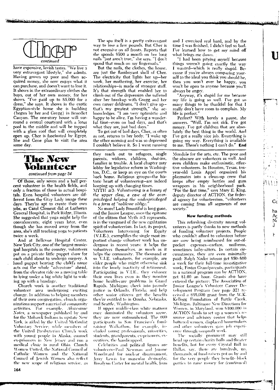

"'.tfl:ilZ\"°Pi:\· wtstvt::r ·;·.,vfwt tr·· ·ttnMt tlti y,;, 'ft'tfamtfrtt :+tt·t X ·· +t11 *trt&1* 'Jf r

have expensive, lavish tastes. "\Ve live a very extravagant lifestyle," she admits. Having grown up poor and then acquired money, she now enjoys what it can purchase, and doesn't want to lose it. It shows in the extraordinary clothes she buys, out of her own money, for her shows. "I've paid up to \$5,000 for a dress," she says. It shows in the exotic Egyptian-style home she is huilding ( begun hy her and Gregg) in Benedict Canyon. The one-story house will surround a central courtvard with a lotus pool in the middle and will be topped with a glass roof that will completely open up. Cher is fascinated by Egypt. She and Gene plan to visit the area some day.

## **The New Ullnnteer**

*continued from page* .34

Of those, only seven and a half percent volunteer in the health fields, and only a fraction of those in actual hospitals. Even hospital volunteers are different from the Gray Lady image these days. They're apt to create their own jobs, as Carol Clement did at Lutheran General Hospital, in Park Ridge, Illinois. She suggested that yoga might help the convalescents; eight years later, even though she has moved away from the area, she's still teaching yoga to patients twice a week.

And at Bellevue Hospital Center, New York City, one of the largest municipal hospitals in the country, volunteers put on a private little puppet show for each child about to undergo surgery. A hand puppet bearing the child's name acts out the whole "adventure" ahead, from the elevator ride on a moving table to lying umlcr a hig white light to waking up with a bandage.

Church work is another traditional volunteer area undergoing exciting change. In addition to helping members of their own congregation, church organizations support a myriad of community .lc:ti\'ities. For PXample, *:\k,ccsasm· Xotes.* a rn·wspaper pnhlished hy and for the Mohawk Indians in upstate New York, is aided by the United Methodist  $\text{Volume}$  Service; while members of the United Presbyterian Church work with young people in Alaska, counsel ex-prisoners in New Jersey and run a medical clinic in rural Ohio. Church  $\rm{Women\; United, the\; National\; Council\;of}$ Catholic Women and the National Council of Jewish Women also reflect the new scope of religious service, as

The spa itself is a pretty extravagant way to lose a few pounds. But Cher is not excessi\'e on all fronts. Reports that she spends  $$500$  a month on her long nails "just aren't true," she says. "I don't spend that much on my fingernails.

But the nails, the clothes, the house, are just the flamboyant shell of Cher. The electricity that lights her up-her work, her mothering, her exercise, her relationships-is made of stronger stuff. It's that strength that enabled her to dimh out of the depression she suffered after her breakup with Gregg and her own career doldrums. "I don't give upthat's my greatest strength," she acknowledges. "I am very optimistic and happy to be alive. I'm having a wonderful time-even on bad days, and that's what they are, just bad days.

To get out of bad days, Cher, as often as not, returns to her body. "I woke up the other moming and was so depressed I couldn't believe it. So I went running

they reach out to refugees, single parents, widows. children, shut-ins, families in trouble. A local chapter may lobby for legislative reform in Washington. D.C., or keep an eve on the courts hack home. Religious groups-the historic heart of volunteering-are indeed keeping up with changing times.

 $\text{MYTH} \neq 3$ : *Volunteering is a luxury of the upper class, a case of the over* $privileged$  *helping the underprivileged in a form of "11obll'sse oblige."* 

No more! Lady Bountiful is long gone, and the Junior League, once the epitome of the elitism that  $Mvth = 3$  represents, is in the yanguard of the new egalitarian spirit of volunteerism. In fact, its project, Volunteers Intervening for Equity  $(V.I.E.)$ , exemplifies the single most important change volunteer work has undergone in recent years: it helps the volunteers themselves, as much as it helps the community. The thousand or so  $\overline{V}$ .I.E. volunteers. for example, are older people who might otherwise sink into the lonely inactivity of retirement. Participating in V.I.E., they cuhance their own lives even as they monitor home health-care problems in Grand Rapids, Michigan; check into juvenile justice in Orlando, Florida, and help other senior citizens get the benefits they're entitled to in Omaha, Nebraska, and Seattle. Washington.

If upper middle-class white matrons once dominated the volunteer scene, they are now outnumbered. The 600 participants in San Francisco's fundraising Walkathon, for example, ineluded young professionals, minorities, students, grandparents, ex-prisoners, executives, the handicapped.

Celebrities and political figures are volunteers—Paul Newman and Joanne Woodward for nuclear disarmament, kerry Lewis for muscular dystrophy. Hosalyun Carter for mental health, Joan

**HI** : **f"** .. ,: ::: : ; t; <sup>q</sup>U4 Z#AJ

and I exercised real hard, and by the time I was finished. I didn't feel so bad. I've learned how to get my mind off what brings me down.

**ll** 

**r'""°'** 'I L ·J

Cc ha Ac<br>N J

r

 $\mathbf{I}$ 

·ewittftr11 s

"I had been pitying myself because things weren't going exactly the way I wanted-which is really stupid. Because if you're always comparing yourself to the ideal you think you should he, then you won't ever be happy, you won't be open to anyone because you'll always be angry.

"Anyway, it's stupid for me because my life is going so well I've got so many things to be thankful for that I really don't have room to complain. My life is perfect."

Perfect? With barely a pause, she answers. "Well, I'm not sick. I've got money. I've got children that are absolutely the best thing in the world. And I've got a really nice job. Everything is going my way. Everything is available to me. There's nothing I can't do." End

Mondale for the arts, etc. The poor and the obscure are volunteers as well. And even children make enthusiastic, effective volunteers. In Houston, Texas. tenyear-old Louis Appel organized his playmates into a clean-up crew that keeps after empty hottles and gum wrappers in his neighborhood park. "For the first time," says Mary E. King. deputy director of ACTION, the federal agency for voluntecrism, "volunteers are coming from all segments of our society.'

#### New funding methods

This refreshing diversity among volunteers is partly thanks to new methods of funding volunteer projects. People who couldn't afford to volunteer before are now being reimhurscd for out-ofpockct expenses-carfare. uniforms, sometimes baby-sitters. In certain circumstances, they are even minimally paid: Ralph Nader interns get \$50-\$60 a week for their full-time investigative work; Foster Grandparents, participants in a national program run by  $ACTION$ , get \$1.60 an hour. Grants also have entered the picture: The Association of Junior League's Volunteer Career Development Program (see page 32) received a \$95,000 grant from the W.K. Kellogg Foundation of Battle Creek, Michigan. Baltimore New Directions for \\'oml'n. in ~larvbnd, \\'Oil S l00.00() in  $ACTION$  funds to set up a women saresource and advisory center that helps battered women, displaced homemakers and other volunteers gain job experience through nonprofit work.

The socially prominent may still head up certain charity balls and theater benefits, but for every Crystal Ball in Dallas, say, there are hundreds, no. thonsands, of fund-raisers put on by and for the very people they benefit--block parties to raise money for (continued)

\$,(JP,i 1A.

<sup>I</sup>**<sup>a</sup>**< •·,""!

Ï.

►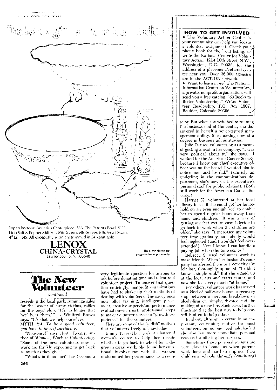

### **The New** Volunteer continued

reseeding the local park, rummage sales for the benefit of crime victims, raffles for the boys' club. "It's no longer that<br>'we' help them.'" as Winifred Brown<br>says. "It's that we help ourselves." MYTH  $\#4$ : To be a good volunteer, you have to be self-sacrificing.<br>"Nonsense!" says Herta Loeser, au-

thor of Women, Work & Volunteering. "Some of the best volunteers now at work are frankly expecting to get back as much as they give.'

"What's in it for me?" has become a

very legitimate question for anyone to ask before donating time and talent to a volunteer project. To answer that question enticingly, nonprofit organizations have had to shake up their methods of dealing with volunteers. The savvy ones now offer training, intelligent placement, creative supervision, performance evaluation-in short, professional steps to make volunteer service a "growth experience" for the volunteer.

Here are some of the "selfish" motives that volunteers freely acknowledge:

Emmy T, used her work at a battered, women's center to help her decide whether to go back to school for a degree in social work. She found her emotional involvement with the women undermined her performance as a coun-

**HOW TO GET INVOLVED** The Voluntary Action Center in your community can help you locate a volunteer assignment. Check your phone book for the local listing, or write the National Center for Voluntary Action, 1214 16th Street, N.W., Washington, D.C. 20036, for the address of a placement/referral center near you. Over 36,000 agencies are in the ACTION network. • Want to learn more? The National Information Center on Volunteerism.

a private, nonprofit organization, will service, nonprone organization, will<br>send you a free catalog, "53 Books to<br>Better Volunteering." Write: Volun-<br>teer Readership, P.O. Box 1807, Boulder, Colorado 80306.

selor. But when she switched to running the business end of the center, she discovered in herself a never-tapped management ability. She's aiming now at a degree in business administration.

Julie O. used volunteering as a means of getting ahead in her company. "I was very political about it," she says. "I worked for the American Cancer Society because I knew our chief executive officer was on the board. I wanted him to notice me, and he did." Formerly an underling in the communications department, she's now on the executive's personal staff for public relations. (Both still work for the American Cancer Society.)

Harriet K. voluntered at her local library to see if she could get her household on an even enough keel to enable her to spend regular hours away from home and children. "It was a way of getting my feet wet, in case I decide to go back to work when the children are older," she says. "I increased my volunteer time gradually, so nobody would feel neglected (and I wouldn't feel overextended). Now I know I can handle a paying job when the time comes.'

Rebecca S. used volunteer work to make friends. When her husband's company transferred them to a new city she felt lost, thoroughly uprooted. "I didn't<br>know a single soul." But she signed up at the local arts and crafts center, and now she feels very much "at home."

For others, volunteer work has served as a kind of half-way house-a recovery stop between a nervous breakdown or alcoholism or, simply, divorce and the making of a new life. Such cases further illustrate that the best way to help oneself is often to help others.

In short, altruism is certainly an important, continuing motive for most volunteers, but no one need hold back if she also has more immediate personal reasons for offering her services.

Sometimes those personal reasons are very close to home, as when parents work long and hard to improve their children's schools through (continued)